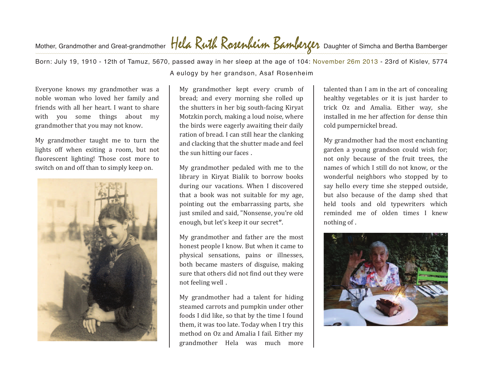## Mother, Grandmother and Great-grandmother **TICCA NUM NOWWAM DAMULY D**aughter of Simcha and Bertha Bamberger

Born: July 19, 1910 - 12th of Tamuz, 5670, passed away in her sleep at the age of 104: November 26m 2013 - 23rd of Kislev, 5774 . A eulogy by her grandson, Asaf Rosenheim

Everyone knows my grandmother was a noble woman who loved her family and friends with all her heart. I want to share with you some things about my grandmother that you may not know.

My grandmother taught me to turn the lights off when exiting a room, but not fluorescent lighting! Those cost more to switch on and off than to simply keep on.



My grandmother kept every crumb of bread; and every morning she rolled up the shutters in her big south-facing Kiryat Motzkin porch, making a loud noise, where the birds were eagerly awaiting their daily ration of bread. I can still hear the clanking and clacking that the shutter made and feel the sun hitting our faces.

My grandmother pedaled with me to the library in Kiryat Bialik to borrow books during our vacations. When I discovered that a book was not suitable for my age, pointing out the embarrassing parts, she just smiled and said, "Nonsense, you're old enough, but let's keep it our secret".

My grandmother and father are the most honest people I know. But when it came to physical sensations, pains or illnesses, both became masters of disguise, making sure that others did not find out they were not feeling well.

My grandmother had a talent for hiding steamed carrots and pumpkin under other foods I did like, so that by the time I found them, it was too late. Today when I try this method on Oz and Amalia I fail. Either my grandmother Hela was much more

talented than I am in the art of concealing healthy vegetables or it is just harder to trick Oz and Amalia. Either way, she installed in me her affection for dense thin cold pumpernickel bread.

My grandmother had the most enchanting garden a young grandson could wish for: not only because of the fruit trees, the names of which I still do not know, or the wonderful neighbors who stopped by to say hello every time she stepped outside, but also because of the damp shed that held tools and old typewriters which reminded me of olden times I knew nothing of.

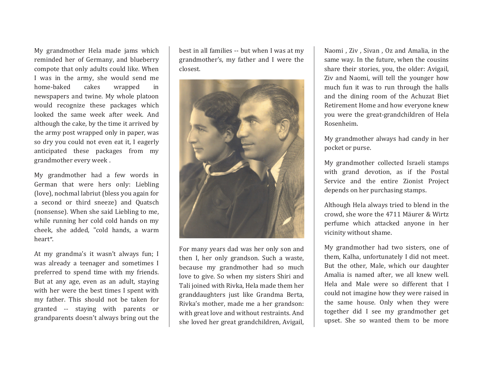My grandmother Hela made jams which reminded her of Germany, and blueberry compote that only adults could like. When I was in the army, she would send me<br>home-baked cakes wrapped in home-baked cakes wrapped in newspapers and twine. My whole platoon would recognize these packages which looked the same week after week. And although the cake, by the time it arrived by the army post wrapped only in paper, was so dry you could not even eat it, I eagerly anticipated these packages from my grandmother every week.

My grandmother had a few words in German that were hers only: Liebling (love), nochmal labriut (bless you again for a second or third sneeze) and Quatsch (nonsense). When she said Liebling to me, while running her cold cold hands on my cheek, she added, "cold hands, a warm heart".

At my grandma's it wasn't always fun; I was already a teenager and sometimes I preferred to spend time with my friends. But at any age, even as an adult, staying with her were the best times I spent with my father. This should not be taken for granted -- staying with parents or grandparents doesn't always bring out the

best in all families -- but when I was at my grandmother's, my father and I were the closest.



For many years dad was her only son and then I, her only grandson. Such a waste, because my grandmother had so much love to give. So when my sisters Shiri and Tali joined with Rivka, Hela made them her granddaughters just like Grandma Berta, Rivka's mother, made me a her grandson: with great love and without restraints. And she loved her great grandchildren, Avigail,

Naomi, Ziv, Sivan, Oz and Amalia, in the same way. In the future, when the cousins share their stories, you, the older: Avigail, Ziv and Naomi, will tell the younger how much fun it was to run through the halls and the dining room of the Achuzat Biet Retirement Home and how everyone knew you were the great-grandchildren of Hela Rosenheim.  $\ddot{\phantom{0}}$ 

My grandmother always had candy in her pocket or purse.

My grandmother collected Israeli stamps with grand devotion, as if the Postal Service and the entire Zionist Project depends on her purchasing stamps.

Although Hela always tried to blend in the crowd, she wore the 4711 Mäurer & Wirtz perfume which attacked anyone in her vicinity without shame.

My grandmother had two sisters, one of them, Kalha, unfortunately I did not meet. But the other, Male, which our daughter Amalia is named after, we all knew well. Hela and Male were so different that I could not imagine how they were raised in the same house. Only when they were together did I see my grandmother get upset. She so wanted them to be more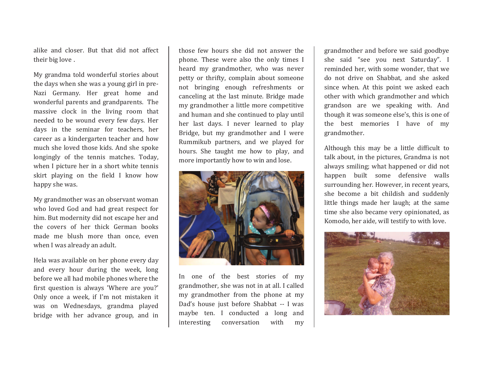alike and closer. But that did not affect their big love.

My grandma told wonderful stories about the days when she was a young girl in pre-Nazi Germany. Her great home and wonderful parents and grandparents. The massive clock in the living room that needed to be wound every few days. Her days in the seminar for teachers, her career as a kindergarten teacher and how much she loved those kids. And she spoke longingly of the tennis matches. Today, when I picture her in a short white tennis skirt playing on the field I know how happy she was.

My grandmother was an observant woman who loved God and had great respect for him. But modernity did not escape her and the covers of her thick German books made me blush more than once, even when I was already an adult.

Hela was available on her phone every day and every hour during the week, long before we all had mobile phones where the first question is always 'Where are you?' Only once a week, if I'm not mistaken it was on Wednesdays, grandma played bridge with her advance group, and in

those few hours she did not answer the phone. These were also the only times I heard my grandmother, who was never petty or thrifty, complain about someone not bringing enough refreshments or canceling at the last minute. Bridge made my grandmother a little more competitive and human and she continued to play until her last days. I never learned to play Bridge, but my grandmother and I were Rummikub partners, and we played for hours. She taught me how to play, and more importantly how to win and lose.



In one of the best stories of my grandmother, she was not in at all. I called my grandmother from the phone at my Dad's house just before Shabbat -- I was maybe ten. I conducted a long and<br>interesting conversation with my conversation with my

grandmother and before we said goodbye she said "see you next Saturday". I reminded her, with some wonder, that we do not drive on Shabbat, and she asked since when. At this point we asked each other with which grandmother and which grandson are we speaking with. And though it was someone else's, this is one of the best memories I have of my grandmother.

Although this may be a little difficult to talk about, in the pictures, Grandma is not always smiling; what happened or did not happen built some defensive walls surrounding her. However, in recent years, she become a bit childish and suddenly little things made her laugh; at the same time she also became very opinionated, as Komodo, her aide, will testify to with love.

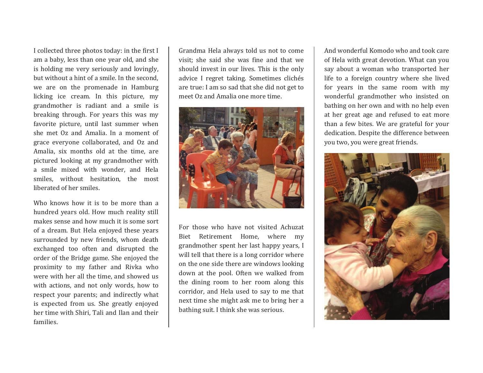I collected three photos today: in the first I am a baby, less than one year old, and she is holding me very seriously and lovingly, but without a hint of a smile. In the second, we are on the promenade in Hamburg licking ice cream. In this picture, my grandmother is radiant and a smile is breaking through. For years this was my favorite picture, until last summer when she met Oz and Amalia. In a moment of grace everyone collaborated, and Oz and Amalia. six months old at the time, are pictured looking at my grandmother with a smile mixed with wonder, and Hela smiles, without hesitation, the most liberated of her smiles.

Who knows how it is to be more than a hundred vears old. How much reality still makes sense and how much it is some sort of a dream. But Hela enjoyed these years surrounded by new friends, whom death exchanged too often and disrupted the order of the Bridge game. She enjoyed the proximity to my father and Rivka who were with her all the time, and showed us with actions, and not only words, how to respect your parents; and indirectly what is expected from us. She greatly enjoyed her time with Shiri. Tali and Ilan and their families.

Grandma Hela always told us not to come visit: she said she was fine and that we should invest in our lives. This is the only advice I regret taking. Sometimes clichés are true: I am so sad that she did not get to meet Oz and Amalia one more time.



For those who have not visited Achuzat Biet Retirement Home, where my grandmother spent her last happy years, I will tell that there is a long corridor where on the one side there are windows looking down at the pool. Often we walked from the dining room to her room along this corridor, and Hela used to say to me that next time she might ask me to bring her a bathing suit. I think she was serious.

And wonderful Komodo who and took care of Hela with great devotion. What can you say about a woman who transported her life to a foreign country where she lived for years in the same room with my wonderful grandmother who insisted on bathing on her own and with no help even at her great age and refused to eat more than a few bites. We are grateful for your dedication. Despite the difference between you two, you were great friends.